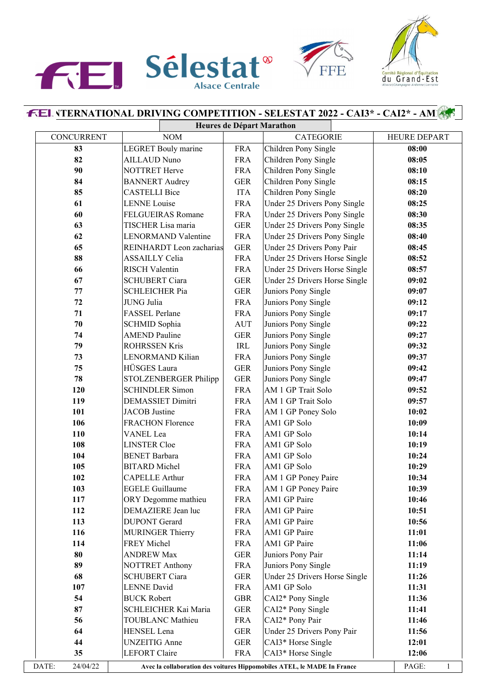





## **I. \TERNATIONAL DRIVING COMPETITION - SELESTAT 2022 - CAI3\* - CAI2\* - AM1**

|                   | Heures de Départ Marathon                    |                                    |                                                                         |                       |  |  |
|-------------------|----------------------------------------------|------------------------------------|-------------------------------------------------------------------------|-----------------------|--|--|
| <b>CONCURRENT</b> | <b>NOM</b>                                   |                                    | <b>CATEGORIE</b>                                                        | <b>HEURE DEPART</b>   |  |  |
| 83                | <b>LEGRET</b> Bouly marine                   | <b>FRA</b>                         | Children Pony Single                                                    | 08:00                 |  |  |
| 82                | <b>AILLAUD Nuno</b>                          | <b>FRA</b>                         | Children Pony Single                                                    | 08:05                 |  |  |
| 90                | NOTTRET Herve                                | <b>FRA</b>                         | Children Pony Single                                                    | 08:10                 |  |  |
| 84                | <b>BANNERT</b> Audrey                        | <b>GER</b>                         | Children Pony Single                                                    | 08:15                 |  |  |
| 85                | <b>CASTELLI Bice</b>                         | <b>ITA</b>                         | Children Pony Single                                                    | 08:20                 |  |  |
| 61                | <b>LENNE</b> Louise                          | <b>FRA</b>                         | Under 25 Drivers Pony Single                                            | 08:25                 |  |  |
| 60                | <b>FELGUEIRAS Romane</b>                     | <b>FRA</b>                         | Under 25 Drivers Pony Single                                            | 08:30                 |  |  |
| 63                | TISCHER Lisa maria                           | <b>GER</b>                         | Under 25 Drivers Pony Single                                            | 08:35                 |  |  |
| 62                | <b>LENORMAND Valentine</b>                   | <b>FRA</b>                         | Under 25 Drivers Pony Single                                            | 08:40                 |  |  |
| 65                | REINHARDT Leon zacharias                     | <b>GER</b>                         | Under 25 Drivers Pony Pair                                              | 08:45                 |  |  |
| 88                | <b>ASSAILLY Celia</b>                        | <b>FRA</b>                         | Under 25 Drivers Horse Single                                           | 08:52                 |  |  |
| 66                | <b>RISCH Valentin</b>                        | <b>FRA</b>                         | Under 25 Drivers Horse Single                                           | 08:57                 |  |  |
| 67                | <b>SCHUBERT Ciara</b>                        | <b>GER</b>                         | Under 25 Drivers Horse Single                                           | 09:02                 |  |  |
| 77                | <b>SCHLEICHER Pia</b>                        | <b>GER</b>                         | Juniors Pony Single                                                     | 09:07                 |  |  |
| 72                | <b>JUNG</b> Julia                            | <b>FRA</b>                         | Juniors Pony Single                                                     | 09:12                 |  |  |
| 71                | FASSEL Perlane                               | <b>FRA</b>                         | Juniors Pony Single                                                     | 09:17                 |  |  |
| 70                | <b>SCHMID Sophia</b>                         | <b>AUT</b>                         | Juniors Pony Single                                                     | 09:22                 |  |  |
| 74                | <b>AMEND Pauline</b>                         | <b>GER</b>                         | Juniors Pony Single                                                     | 09:27                 |  |  |
| 79                | <b>ROHRSSEN Kris</b>                         | $\ensuremath{\mathsf{IRL}}\xspace$ | Juniors Pony Single                                                     | 09:32                 |  |  |
| 73                | <b>LENORMAND Kilian</b>                      | <b>FRA</b>                         | Juniors Pony Single                                                     | 09:37                 |  |  |
| 75                | HÜSGES Laura                                 | <b>GER</b>                         | Juniors Pony Single                                                     | 09:42                 |  |  |
| 78                | STOLZENBERGER Philipp                        | <b>GER</b>                         | Juniors Pony Single                                                     | 09:47                 |  |  |
| 120               | <b>SCHINDLER Simon</b>                       | <b>FRA</b>                         | AM 1 GP Trait Solo                                                      | 09:52                 |  |  |
| 119               | <b>DEMASSIET Dimitri</b>                     | <b>FRA</b>                         | AM 1 GP Trait Solo                                                      | 09:57                 |  |  |
| 101               | <b>JACOB</b> Justine                         | <b>FRA</b>                         | AM 1 GP Poney Solo                                                      | 10:02                 |  |  |
| 106               | <b>FRACHON Florence</b>                      | <b>FRA</b>                         | AM1 GP Solo                                                             | 10:09                 |  |  |
| 110               | VANEL Lea                                    | <b>FRA</b>                         | AM1 GP Solo                                                             | 10:14                 |  |  |
| 108               | <b>LINSTER Cloe</b>                          | <b>FRA</b>                         | AM1 GP Solo                                                             | 10:19                 |  |  |
| 104               | <b>BENET</b> Barbara                         | <b>FRA</b>                         | AM1 GP Solo                                                             | 10:24                 |  |  |
| 105               | <b>BITARD</b> Michel                         | <b>FRA</b>                         | AM1 GP Solo                                                             | 10:29                 |  |  |
| 102               | <b>CAPELLE Arthur</b>                        | <b>FRA</b>                         | AM 1 GP Poney Paire                                                     | 10:34                 |  |  |
| 103               | <b>EGELE Guillaume</b>                       | <b>FRA</b>                         | AM 1 GP Poney Paire                                                     | 10:39                 |  |  |
| 117               | ORY Degomme mathieu                          | <b>FRA</b>                         | AM1 GP Paire                                                            | 10:46                 |  |  |
| 112               | DEMAZIERE Jean luc                           | <b>FRA</b>                         | AM1 GP Paire                                                            | 10:51                 |  |  |
| 113               | <b>DUPONT</b> Gerard                         | <b>FRA</b>                         | AM1 GP Paire                                                            | 10:56                 |  |  |
| 116               | <b>MURINGER Thierry</b>                      | <b>FRA</b>                         | AM1 GP Paire                                                            | 11:01                 |  |  |
| 114               | FREY Michel                                  | <b>FRA</b>                         | AM1 GP Paire                                                            | 11:06                 |  |  |
| 80                | <b>ANDREW Max</b>                            | <b>GER</b>                         | Juniors Pony Pair                                                       | 11:14                 |  |  |
| 89                | <b>NOTTRET Anthony</b>                       | <b>FRA</b>                         | Juniors Pony Single                                                     | 11:19                 |  |  |
| 68                | <b>SCHUBERT Ciara</b>                        | <b>GER</b>                         | Under 25 Drivers Horse Single                                           | 11:26                 |  |  |
| 107               | <b>LENNE</b> David                           | <b>FRA</b>                         | AM1 GP Solo                                                             | 11:31                 |  |  |
| 54                | <b>BUCK Robert</b>                           | <b>GBR</b>                         | CAI2* Pony Single                                                       | 11:36                 |  |  |
| 87                | SCHLEICHER Kai Maria                         | <b>GER</b>                         | CAI2* Pony Single                                                       | 11:41                 |  |  |
| 56                | <b>TOUBLANC Mathieu</b>                      | <b>FRA</b>                         | CAI2* Pony Pair                                                         | 11:46                 |  |  |
| 64                | HENSEL Lena                                  | <b>GER</b>                         | Under 25 Drivers Pony Pair                                              | 11:56                 |  |  |
| 44                |                                              |                                    |                                                                         |                       |  |  |
| 35                | <b>UNZEITIG</b> Anne<br><b>LEFORT</b> Claire | <b>GER</b>                         | CAI3* Horse Single                                                      | 12:01                 |  |  |
|                   |                                              | <b>FRA</b>                         | CAI3* Horse Single                                                      | 12:06                 |  |  |
| DATE:<br>24/04/22 |                                              |                                    | Avec la collaboration des voitures Hippomobiles ATEL, le MADE In France | PAGE:<br>$\mathbf{1}$ |  |  |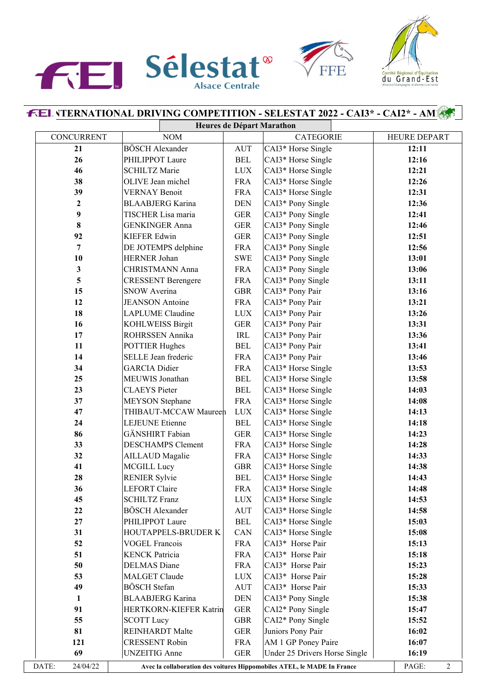





## **I. \TERNATIONAL DRIVING COMPETITION - SELESTAT 2022 - CAI3\* - CAI2\* - AM1 Heures de Départ Marathon**

|                   |                           | ircur cs ac Depart Brian atmon |                                                                         |       |                     |  |
|-------------------|---------------------------|--------------------------------|-------------------------------------------------------------------------|-------|---------------------|--|
| <b>CONCURRENT</b> | <b>NOM</b>                |                                | <b>CATEGORIE</b>                                                        |       | HEURE DEPART        |  |
| 21                | <b>BÖSCH Alexander</b>    | <b>AUT</b>                     | CAI3* Horse Single                                                      | 12:11 |                     |  |
| 26                | PHILIPPOT Laure           | <b>BEL</b>                     | CAI3* Horse Single                                                      |       | 12:16               |  |
| 46                | <b>SCHILTZ Marie</b>      | <b>LUX</b>                     | CAI3* Horse Single                                                      |       | 12:21               |  |
| 38                | OLIVE Jean michel         | <b>FRA</b>                     | CAI3* Horse Single                                                      |       | 12:26               |  |
| 39                | <b>VERNAY Benoit</b>      | <b>FRA</b>                     | CAI3* Horse Single                                                      |       | 12:31               |  |
| $\boldsymbol{2}$  | <b>BLAABJERG</b> Karina   | <b>DEN</b>                     | CAI3* Pony Single                                                       |       | 12:36               |  |
| 9                 | TISCHER Lisa maria        | <b>GER</b>                     | CAI3* Pony Single                                                       |       | 12:41               |  |
| $\bf{8}$          | <b>GENKINGER Anna</b>     | <b>GER</b>                     | CAI3* Pony Single                                                       |       | 12:46               |  |
| 92                | <b>KIEFER Edwin</b>       | <b>GER</b>                     | CAI3* Pony Single                                                       |       | 12:51               |  |
| 7                 | DE JOTEMPS delphine       | <b>FRA</b>                     | CAI3* Pony Single                                                       |       | 12:56               |  |
| 10                | HERNER Johan              | <b>SWE</b>                     | CAI3* Pony Single                                                       |       | 13:01               |  |
| 3                 | <b>CHRISTMANN Anna</b>    | <b>FRA</b>                     | CAI3* Pony Single                                                       |       | 13:06               |  |
| 5                 | <b>CRESSENT Berengere</b> | <b>FRA</b>                     | CAI3* Pony Single                                                       |       | 13:11               |  |
| 15                | <b>SNOW Averina</b>       | <b>GBR</b>                     | CAI3* Pony Pair                                                         |       | 13:16               |  |
| 12                | <b>JEANSON</b> Antoine    | <b>FRA</b>                     | CAI3* Pony Pair                                                         |       | 13:21               |  |
| 18                | <b>LAPLUME</b> Claudine   | <b>LUX</b>                     | CAI3* Pony Pair                                                         |       | 13:26               |  |
| 16                | <b>KOHLWEISS Birgit</b>   | <b>GER</b>                     | CAI3* Pony Pair                                                         |       | 13:31               |  |
| 17                | ROHRSSEN Annika           | IRL                            | CAI3* Pony Pair                                                         |       | 13:36               |  |
| 11                | <b>POTTIER Hughes</b>     | <b>BEL</b>                     | CAI3* Pony Pair                                                         |       | 13:41               |  |
| 14                | SELLE Jean frederic       | <b>FRA</b>                     | CAI3* Pony Pair                                                         |       | 13:46               |  |
| 34                | <b>GARCIA</b> Didier      | <b>FRA</b>                     | CAI3* Horse Single                                                      |       | 13:53               |  |
| 25                | MEUWIS Jonathan           | <b>BEL</b>                     | CAI3* Horse Single                                                      |       | 13:58               |  |
| 23                | <b>CLAEYS</b> Pieter      | <b>BEL</b>                     | CAI3* Horse Single                                                      |       | 14:03               |  |
| 37                | <b>MEYSON</b> Stephane    | <b>FRA</b>                     | CAI3* Horse Single                                                      |       | 14:08               |  |
| 47                | THIBAUT-MCCAW Maureen     | <b>LUX</b>                     | CAI3* Horse Single                                                      |       | 14:13               |  |
| 24                | <b>LEJEUNE</b> Etienne    | <b>BEL</b>                     | CAI3* Horse Single                                                      |       | 14:18               |  |
| 86                | GÄNSHIRT Fabian           | <b>GER</b>                     | CAI3* Horse Single                                                      |       | 14:23               |  |
| 33                | <b>DESCHAMPS Clement</b>  | <b>FRA</b>                     | CAI3* Horse Single                                                      |       | 14:28               |  |
| 32                | <b>AILLAUD</b> Magalie    | <b>FRA</b>                     | CAI3* Horse Single                                                      |       | 14:33               |  |
| 41                | <b>MCGILL Lucy</b>        | <b>GBR</b>                     | CAI3* Horse Single                                                      |       | 14:38               |  |
| 28                | <b>RENIER Sylvie</b>      | <b>BEL</b>                     | CAI3* Horse Single                                                      |       | 14:43               |  |
| 36                | <b>LEFORT Claire</b>      | <b>FRA</b>                     | CAI3* Horse Single                                                      |       | 14:48               |  |
| 45                | <b>SCHILTZ Franz</b>      | $_{\mbox{\footnotesize{LUX}}}$ | CAI3* Horse Single                                                      |       | 14:53               |  |
| 22                | <b>BÖSCH Alexander</b>    | <b>AUT</b>                     | CAI3* Horse Single                                                      |       | 14:58               |  |
| 27                | PHILIPPOT Laure           | <b>BEL</b>                     | CAI3* Horse Single                                                      |       | 15:03               |  |
| 31                | HOUTAPPELS-BRUDER K       | CAN                            | CAI3* Horse Single                                                      |       | 15:08               |  |
| 52                | <b>VOGEL Francois</b>     | <b>FRA</b>                     | CAI3* Horse Pair                                                        |       | 15:13               |  |
| 51                | <b>KENCK Patricia</b>     | <b>FRA</b>                     | CAI3* Horse Pair                                                        |       | 15:18               |  |
| 50                | <b>DELMAS</b> Diane       | <b>FRA</b>                     | CAI3* Horse Pair                                                        |       | 15:23               |  |
| 53                | <b>MALGET Claude</b>      | <b>LUX</b>                     | CAI3* Horse Pair                                                        |       | 15:28               |  |
| 49                | <b>BÖSCH</b> Stefan       | <b>AUT</b>                     | CAI3* Horse Pair                                                        |       | 15:33               |  |
| 1                 | <b>BLAABJERG</b> Karina   | <b>DEN</b>                     | CAI3* Pony Single                                                       |       | 15:38               |  |
| 91                | HERTKORN-KIEFER Katrin    | <b>GER</b>                     | CAI2* Pony Single                                                       |       | 15:47               |  |
| 55                | <b>SCOTT Lucy</b>         | <b>GBR</b>                     | CAI2* Pony Single                                                       |       | 15:52               |  |
| 81                | <b>REINHARDT</b> Malte    | <b>GER</b>                     | Juniors Pony Pair                                                       |       | 16:02               |  |
| 121               | <b>CRESSENT Robin</b>     | <b>FRA</b>                     | AM 1 GP Poney Paire                                                     |       | 16:07               |  |
| 69                | <b>UNZEITIG</b> Anne      | <b>GER</b>                     | Under 25 Drivers Horse Single                                           |       | 16:19               |  |
| DATE:<br>24/04/22 |                           |                                | Avec la collaboration des voitures Hippomobiles ATEL, le MADE In France |       | PAGE:<br>$\sqrt{2}$ |  |
|                   |                           |                                |                                                                         |       |                     |  |